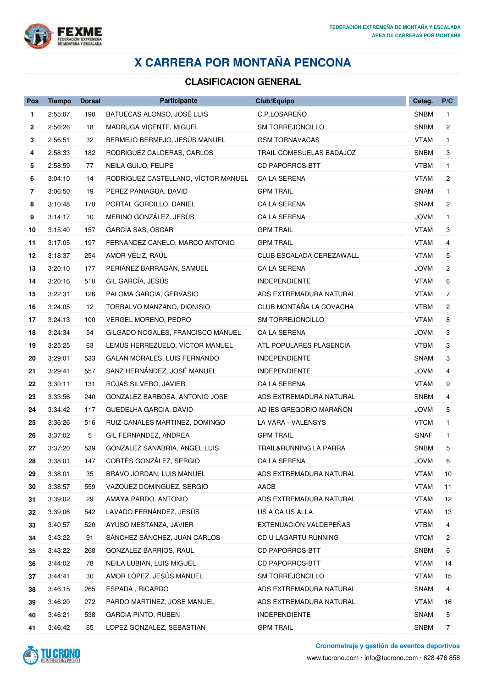

## **X CARRERA POR MONTAÑA PENCONA**

## **CLASIFICACION GENERAL**

| Pos            | <b>Tiempo</b> | <b>Dorsal</b> | <b>Participante</b>                 | Club/Equipo              | Categ.      | P/C            |
|----------------|---------------|---------------|-------------------------------------|--------------------------|-------------|----------------|
| 1              | 2:55:07       | 190           | BATUECAS ALONSO, JOSÉ LUIS          | C.P.LOSAREÑO             | <b>SNBM</b> | 1.             |
| 2              | 2:56:26       | 18            | MADRUGA VICENTE, MIGUEL             | <b>SM TORREJONCILLO</b>  | <b>SNBM</b> | 2              |
| 3              | 2:56:51       | 32            | BERMEJO BERMEJO, JESÚS MANUEL       | <b>GSM TORNAVACAS</b>    | <b>VTAM</b> | $\mathbf{1}$   |
| 4              | 2:58:33       | 182           | RODRIGUEZ CALDERAS, CARLOS          | TRAIL COMESUELAS BADAJOZ | <b>SNBM</b> | 3              |
| 5              | 2:58:59       | 77            | NEILA GUIJO, FELIPE                 | <b>CD PAPORROS-BTT</b>   | <b>VTBM</b> | $\mathbf{1}$   |
| 6              | 3:04:10       | 14            | RODRÍGUEZ CASTELLANO, VÍCTOR MANUEL | CA LA SERENA             | <b>VTAM</b> | 2              |
| $\overline{7}$ | 3:06:50       | 19            | PEREZ PANIAGUA, DAVID               | <b>GPM TRAIL</b>         | SNAM        | $\mathbf{1}$   |
| 8              | 3:10:48       | 178           | PORTAL GORDILLO, DANIEL             | CA LA SERENA             | SNAM        | 2              |
| 9              | 3:14:17       | 10            | MERINO GONZÁLEZ, JESÚS              | CA LA SERENA             | <b>JOVM</b> | 1.             |
| 10             | 3:15:40       | 157           | GARCÍA SAS, ÓSCAR                   | <b>GPM TRAIL</b>         | <b>VTAM</b> | 3              |
| 11             | 3:17:05       | 197           | FERNANDEZ CANELO, MARCO ANTONIO     | <b>GPM TRAIL</b>         | <b>VTAM</b> | 4              |
| 12             | 3:18:37       | 254           | AMOR VÉLIZ, RAÚL                    | CLUB ESCALADA CEREZAWALL | <b>VTAM</b> | 5              |
| 13             | 3:20:10       | 177           | PERIÁÑEZ BARRAGÁN, SAMUEL           | CA LA SERENA             | <b>JOVM</b> | 2              |
| 14             | 3:20:16       | 510           | GIL GARCÍA, JESÚS                   | <b>INDEPENDIENTE</b>     | <b>VTAM</b> | 6              |
| 15             | 3:22:31       | 126           | PALOMA GARCIA, GERVASIO             | ADS EXTREMADURA NATURAL  | <b>VTAM</b> | $\overline{7}$ |
| 16             | 3:24:05       | 12            | TORRALVO MANZANO, DIONISIO          | CLUB MONTAÑA LA COVACHA  | <b>VTBM</b> | 2              |
| 17             | 3:24:13       | 100           | VERGEL MORENO, PEDRO                | SM TORREJONCILLO         | <b>VTAM</b> | 8              |
| 18             | 3:24:34       | 54            | GILGADO NOGALES, FRANCISCO MANUEL   | CA LA SERENA             | <b>JOVM</b> | 3              |
| 19             | 3:25:25       | 63            | LEMUS HERREZUELO, VÍCTOR MANUEL     | ATL POPULARES PLASENCIA  | VTBM        | 3              |
| 20             | 3:29:01       | 533           | GALAN MORALES, LUIS FERNANDO        | <b>INDEPENDIENTE</b>     | <b>SNAM</b> | 3              |
| 21             | 3:29:41       | 557           | SANZ HERNÁNDEZ, JOSÉ MANUEL         | <b>INDEPENDIENTE</b>     | <b>JOVM</b> | 4              |
| 22             | 3:30:11       | 131           | ROJAS SILVERO, JAVIER               | CA LA SERENA             | <b>VTAM</b> | 9              |
| 23             | 3:33:56       | 240           | GONZALEZ BARBOSA, ANTONIO JOSE      | ADS EXTREMADURA NATURAL  | <b>SNBM</b> | 4              |
| 24             | 3:34:42       | 117           | GUEDELHA GARCIA, DAVID              | AD IES GREGORIO MARAÑÓN  | <b>JOVM</b> | 5              |
| 25             | 3:36:26       | 516           | RUIZ-CANALES MARTINEZ, DOMINGO      | LA VARA - VALENSYS       | <b>VTCM</b> | 1.             |
| 26             | 3:37:02       | 5             | GIL FERNANDEZ, ANDREA               | <b>GPM TRAIL</b>         | <b>SNAF</b> | $\mathbf{1}$   |
| 27             | 3:37:20       | 539           | GONZALEZ SANABRIA, ANGEL LUIS       | TRAIL&RUNNING LA PARRA   | <b>SNBM</b> | 5              |
| 28             | 3:38:01       | 147           | CORTÉS GONZÁLEZ, SERGIO             | CA LA SERENA             | <b>JOVM</b> | 6              |
| 29             | 3:38:01       | 35            | BRAVO JORDAN, LUIS MANUEL           | ADS EXTREMADURA NATURAL  | <b>VTAM</b> | 10             |
| 30             | 3:38:57       | 559           | VAZQUEZ DOMINGUEZ, SERGIO           | AACB                     | <b>VTAM</b> | 11             |
| 31             | 3:39:02       | 29            | AMAYA PARDO, ANTONIO                | ADS EXTREMADURA NATURAL  | <b>VTAM</b> | 12             |
| 32             | 3:39:06       | 542           | LAVADO FERNÁNDEZ, JESÚS             | US A CA US ALLA          | <b>VTAM</b> | 13             |
| 33             | 3:40:57       | 520           | AYUSO MESTANZA, JAVIER              | EXTENUACIÓN VALDEPEÑAS   | <b>VTBM</b> | 4              |
| 34             | 3:43:22       | 91            | SÁNCHEZ SÁNCHEZ, JUAN CARLOS        | CD U LAGARTU RUNNING     | <b>VTCM</b> | 2              |
| 35             | 3:43:22       | 268           | GONZALEZ BARRIOS, RAUL              | <b>CD PAPORROS-BTT</b>   | <b>SNBM</b> | 6              |
| 36             | 3:44:02       | 78            | NEILA LUBIAN, LUIS MIGUEL           | <b>CD PAPORROS-BTT</b>   | <b>VTAM</b> | 14             |
| 37             | 3:44:41       | 30            | AMOR LÓPEZ, JESÚS MANUEL            | SM TORREJONCILLO         | <b>VTAM</b> | 15             |
| 38             | 3:46:15       | 265           | ESPADA, RICARDO                     | ADS EXTREMADURA NATURAL  | <b>SNAM</b> | 4              |
| 39             | 3:46:20       | 272           | PARDO MARTINEZ, JOSE MANUEL         | ADS EXTREMADURA NATURAL  | <b>VTAM</b> | 16             |
| 40             | 3:46:21       | 538           | <b>GARCIA PINTO, RUBEN</b>          | <b>INDEPENDIENTE</b>     | <b>SNAM</b> | 5              |
| 41             | 3:46:42       | 65            | LOPEZ GONZALEZ, SEBASTIAN           | <b>GPM TRAIL</b>         | <b>SNBM</b> | 7              |



**Cronometraje y gestión de eventos deportivos**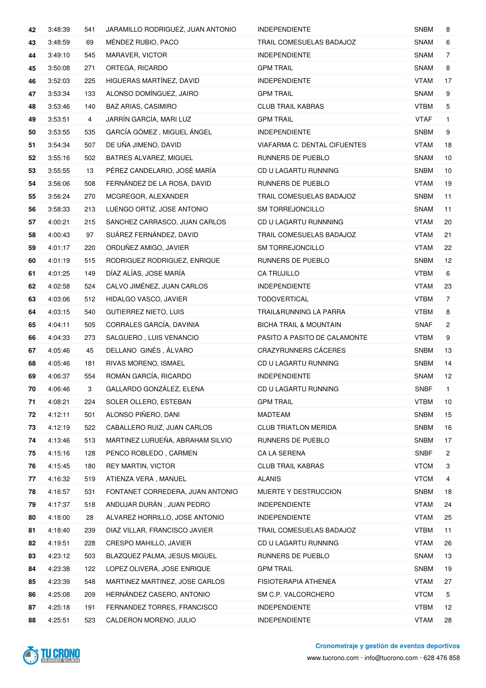| 42 | 3:48:39 | 541            | JARAMILLO RODRIGUEZ, JUAN ANTONIO | <b>INDEPENDIENTE</b>              | <b>SNBM</b> | 8              |
|----|---------|----------------|-----------------------------------|-----------------------------------|-------------|----------------|
| 43 | 3:48:59 | 69             | MÉNDEZ RUBIO, PACO                | TRAIL COMESUELAS BADAJOZ          | <b>SNAM</b> | 6              |
| 44 | 3:49:10 | 545            | MARAVER, VICTOR                   | <b>INDEPENDIENTE</b>              | <b>SNAM</b> | 7              |
| 45 | 3:50:08 | 271            | ORTEGA, RICARDO                   | <b>GPM TRAIL</b>                  | <b>SNAM</b> | 8              |
| 46 | 3:52:03 | 225            | HIGUERAS MARTÍNEZ, DAVID          | <b>INDEPENDIENTE</b>              | <b>VTAM</b> | 17             |
| 47 | 3:53:34 | 133            | ALONSO DOMÍNGUEZ, JAIRO           | <b>GPM TRAIL</b>                  | <b>SNAM</b> | 9              |
| 48 | 3:53:46 | 140            | <b>BAZ ARIAS, CASIMIRO</b>        | <b>CLUB TRAIL KABRAS</b>          | <b>VTBM</b> | 5              |
| 49 | 3:53:51 | $\overline{4}$ | JARRÍN GARCÍA, MARI LUZ           | <b>GPM TRAIL</b>                  | <b>VTAF</b> | $\mathbf{1}$   |
| 50 | 3:53:55 | 535            | GARCÍA GÓMEZ, MIGUEL ÁNGEL        | <b>INDEPENDIENTE</b>              | <b>SNBM</b> | 9              |
| 51 | 3:54:34 | 507            | DE UÑA JIMENO, DAVID              | VIAFARMA C. DENTAL CIFUENTES      | <b>VTAM</b> | 18             |
| 52 | 3:55:16 | 502            | BATRES ALVAREZ, MIGUEL            | RUNNERS DE PUEBLO                 | <b>SNAM</b> | 10             |
| 53 | 3:55:55 | 13             | PÉREZ CANDELARIO, JOSÉ MARÍA      | CD U LAGARTU RUNNING              | <b>SNBM</b> | 10             |
| 54 | 3:56:06 | 508            | FERNÁNDEZ DE LA ROSA, DAVID       | RUNNERS DE PUEBLO                 | <b>VTAM</b> | 19             |
| 55 | 3:56:24 | 270            | MCGREGOR, ALEXANDER               | TRAIL COMESUELAS BADAJOZ          | <b>SNBM</b> | 11             |
| 56 | 3:58:33 | 213            | LUENGO ORTIZ, JOSE ANTONIO        | <b>SM TORREJONCILLO</b>           | <b>SNAM</b> | 11             |
| 57 | 4:00:21 | 215            | SANCHEZ CARRASCO, JUAN CARLOS     | CD U LAGARTU RUNNNING             | <b>VTAM</b> | 20             |
| 58 | 4:00:43 | 97             | SUÁREZ FERNÁNDEZ, DAVID           | TRAIL COMESUELAS BADAJOZ          | <b>VTAM</b> | 21             |
| 59 | 4:01:17 | 220            | ORDUÑEZ AMIGO, JAVIER             | SM TORREJONCILLO                  | <b>VTAM</b> | 22             |
| 60 | 4:01:19 | 515            | RODRIGUEZ RODRIGUEZ, ENRIQUE      | RUNNERS DE PUEBLO                 | <b>SNBM</b> | 12             |
| 61 | 4:01:25 | 149            | DÍAZ ALÍAS, JOSE MARÍA            | <b>CA TRUJILLO</b>                | <b>VTBM</b> | 6              |
| 62 | 4:02:58 | 524            | CALVO JIMÉNEZ, JUAN CARLOS        | <b>INDEPENDIENTE</b>              | <b>VTAM</b> | 23             |
| 63 | 4:03:06 | 512            | HIDALGO VASCO, JAVIER             | TODOVERTICAL                      | <b>VTBM</b> | 7              |
| 64 | 4:03:15 | 540            | <b>GUTIERREZ NIETO, LUIS</b>      | TRAIL&RUNNING LA PARRA            | VTBM        | 8              |
| 65 | 4:04:11 | 505            | CORRALES GARCÍA, DAVINIA          | <b>BICHA TRAIL &amp; MOUNTAIN</b> | <b>SNAF</b> | $\overline{c}$ |
| 66 | 4:04:33 | 273            | SALGUERO, LUIS VENANCIO           | PASITO A PASITO DE CALAMONTE      | <b>VTBM</b> | 9              |
| 67 | 4:05:46 | 45             | DELLANO GINÉS, ÁLVARO             | CRAZYRUNNERS CÁCERES              | <b>SNBM</b> | 13             |
| 68 | 4:05:46 | 181            | RIVAS MORENO, ISMAEL              | CD U LAGARTU RUNNING              | <b>SNBM</b> | 14             |
| 69 | 4:06:37 | 554            | ROMÁN GARCÍA, RICARDO             | <b>INDEPENDIENTE</b>              | <b>SNAM</b> | 12             |
| 70 | 4:06:46 | 3              | GALLARDO GONZÁLEZ, ELENA          | CD U LAGARTU RUNNING              | <b>SNBF</b> | $\mathbf{1}$   |
| 71 | 4:08:21 | 224            | SOLER OLLERO, ESTEBAN             | <b>GPM TRAIL</b>                  | <b>VTBM</b> | 10             |
| 72 | 4:12:11 | 501            | ALONSO PIÑERO, DANI               | MADTEAM                           | <b>SNBM</b> | 15             |
| 73 | 4:12:19 | 522            | CABALLERO RUIZ, JUAN CARLOS       | <b>CLUB TRIATLON MERIDA</b>       | <b>SNBM</b> | 16             |
| 74 | 4:13:46 | 513            | MARTINEZ LURUEÑA, ABRAHAM SILVIO  | RUNNERS DE PUEBLO                 | <b>SNBM</b> | 17             |
| 75 | 4:15:16 | 128            | PENCO ROBLEDO, CARMEN             | CA LA SERENA                      | <b>SNBF</b> | $\overline{c}$ |
| 76 | 4:15:45 | 180            | REY MARTIN, VICTOR                | <b>CLUB TRAIL KABRAS</b>          | <b>VTCM</b> | 3              |
| 77 | 4:16:32 | 519            | ATIENZA VERA, MANUEL              | <b>ALANIS</b>                     | <b>VTCM</b> | 4              |
| 78 | 4:16:57 | 531            | FONTANET CORREDERA, JUAN ANTONIO  | MUERTE Y DESTRUCCION              | <b>SNBM</b> | 18             |
| 79 | 4:17:37 | 518            | ANDUJAR DURÁN, JUAN PEDRO         | <b>INDEPENDIENTE</b>              | <b>VTAM</b> | 24             |
| 80 | 4:18:00 | 28             | ALVAREZ HORRILLO, JOSE ANTONIO    | <b>INDEPENDIENTE</b>              | <b>VTAM</b> | 25             |
| 81 | 4:18:40 | 239            | DIAZ VILLAR, FRANCISCO JAVIER     | TRAIL COMESUELAS BADAJOZ          | <b>VTBM</b> | 11             |
| 82 | 4:19:51 | 228            | <b>CRESPO MAHILLO, JAVIER</b>     | CD U LAGARTU RUNNING              | <b>VTAM</b> | 26             |
| 83 | 4:23:12 | 503            | BLAZQUEZ PALMA, JESUS MIGUEL      | RUNNERS DE PUEBLO                 | SNAM        | 13             |
| 84 | 4:23:38 | 122            | LOPEZ OLIVERA, JOSE ENRIQUE       | <b>GPM TRAIL</b>                  | <b>SNBM</b> | 19             |
| 85 | 4:23:39 | 548            | MARTINEZ MARTINEZ, JOSE CARLOS    | FISIOTERAPIA ATHENEA              | <b>VTAM</b> | 27             |
| 86 | 4:25:08 | 209            | HERNÁNDEZ CASERO, ANTONIO         | SM C.P. VALCORCHERO               | <b>VTCM</b> | 5              |
| 87 | 4:25:18 | 191            | FERNANDEZ TORRES, FRANCISCO       | <b>INDEPENDIENTE</b>              | <b>VTBM</b> | 12             |
| 88 | 4:25:51 | 523            | CALDERON MORENO, JULIO            | <b>INDEPENDIENTE</b>              | <b>VTAM</b> | 28             |